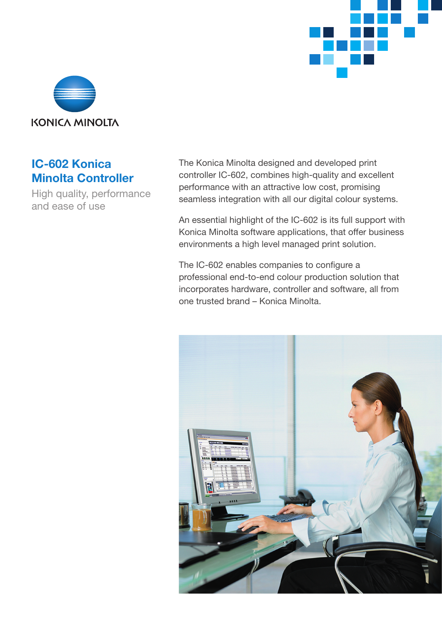



# **IC-602 Konica Minolta Controller**

High quality, performance and ease of use

The Konica Minolta designed and developed print controller IC-602, combines high-quality and excellent performance with an attractive low cost, promising seamless integration with all our digital colour systems.

An essential highlight of the IC-602 is its full support with Konica Minolta software applications, that offer business environments a high level managed print solution.

The IC-602 enables companies to configure a professional end-to-end colour production solution that incorporates hardware, controller and software, all from one trusted brand – Konica Minolta.